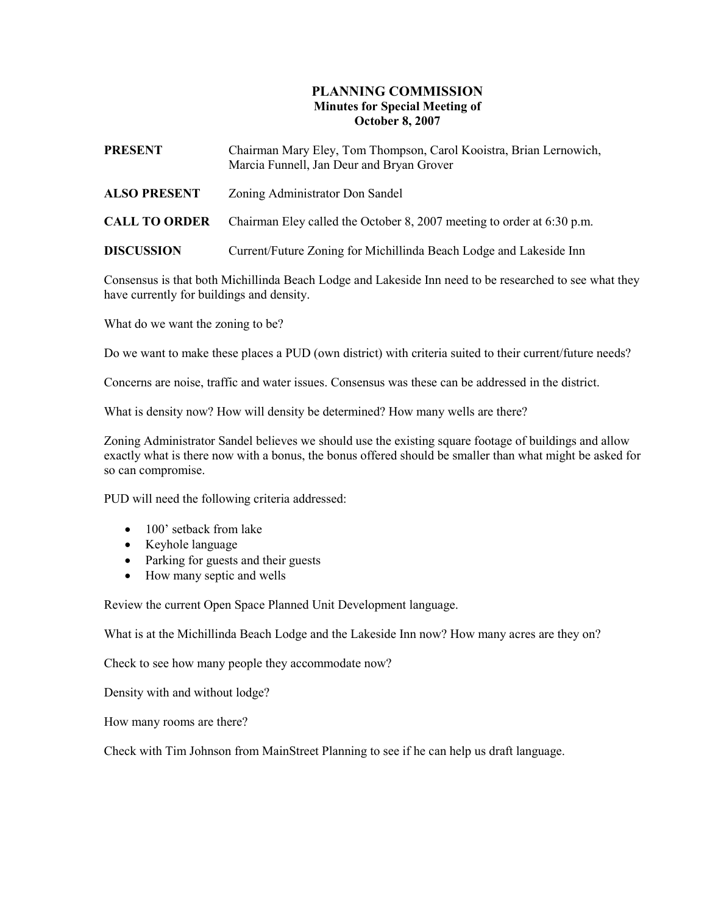## PLANNING COMMISSION Minutes for Special Meeting of October 8, 2007

| <b>PRESENT</b>       | Chairman Mary Eley, Tom Thompson, Carol Kooistra, Brian Lernowich,<br>Marcia Funnell, Jan Deur and Bryan Grover |
|----------------------|-----------------------------------------------------------------------------------------------------------------|
| <b>ALSO PRESENT</b>  | Zoning Administrator Don Sandel                                                                                 |
| <b>CALL TO ORDER</b> | Chairman Eley called the October 8, 2007 meeting to order at 6:30 p.m.                                          |
| <b>DISCUSSION</b>    | Current/Future Zoning for Michillinda Beach Lodge and Lakeside Inn                                              |

Consensus is that both Michillinda Beach Lodge and Lakeside Inn need to be researched to see what they have currently for buildings and density.

What do we want the zoning to be?

Do we want to make these places a PUD (own district) with criteria suited to their current/future needs?

Concerns are noise, traffic and water issues. Consensus was these can be addressed in the district.

What is density now? How will density be determined? How many wells are there?

Zoning Administrator Sandel believes we should use the existing square footage of buildings and allow exactly what is there now with a bonus, the bonus offered should be smaller than what might be asked for so can compromise.

PUD will need the following criteria addressed:

- 100' setback from lake
- Keyhole language
- Parking for guests and their guests
- How many septic and wells

Review the current Open Space Planned Unit Development language.

What is at the Michillinda Beach Lodge and the Lakeside Inn now? How many acres are they on?

Check to see how many people they accommodate now?

Density with and without lodge?

How many rooms are there?

Check with Tim Johnson from MainStreet Planning to see if he can help us draft language.